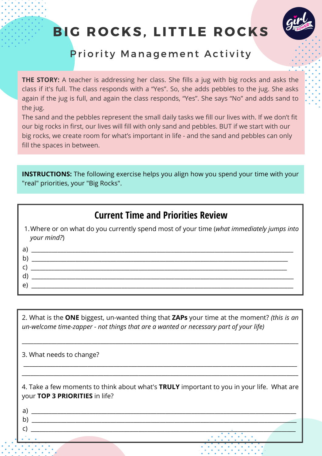## BIG ROCKS, LITTLE ROCKS



### Priority Management Activity

**THE STORY:** A teacher is addressing her class. She fills a jug with big rocks and asks the class if it's full. The class responds with a "Yes". So, she adds pebbles to the jug. She asks again if the jug is full, and again the class responds, "Yes". She says "No" and adds sand to the jug.

The sand and the pebbles represent the small daily tasks we fill our lives with. If we don't fit our big rocks in first, our lives will fill with only sand and pebbles. BUT if we start with our big rocks, we create room for what's important in life - and the sand and pebbles can only fill the spaces in between.

**INSTRUCTIONS:** The following exercise helps you align how you spend your time with your "real" priorities, your "Big Rocks".

#### **Current Time and Priorities Review**

Where or on what do you currently spend most of your time (*what immediately jumps into* 1. *your mind?*)

| D |  |
|---|--|
|   |  |
|   |  |
|   |  |

2. What is the **ONE** biggest, un-wanted thing that **ZAPs** your time at the moment? *(this is an un-welcome time-zapper - not things that are a wanted or necessary part of your life)*

\_\_\_\_\_\_\_\_\_\_\_\_\_\_\_\_\_\_\_\_\_\_\_\_\_\_\_\_\_\_\_\_\_\_\_\_\_\_\_\_\_\_\_\_\_\_\_\_\_\_\_\_\_\_\_\_\_\_\_\_\_\_\_\_\_\_\_\_\_\_\_\_\_\_\_\_\_\_\_\_\_\_\_\_\_\_\_\_\_\_\_\_\_\_\_

\_\_\_\_\_\_\_\_\_\_\_\_\_\_\_\_\_\_\_\_\_\_\_\_\_\_\_\_\_\_\_\_\_\_\_\_\_\_\_\_\_\_\_\_\_\_\_\_\_\_\_\_\_\_\_\_\_\_\_\_\_\_\_\_\_\_\_\_\_\_\_\_\_\_\_\_\_\_\_\_\_\_\_\_\_\_\_\_\_\_\_\_\_\_ \_\_\_\_\_\_\_\_\_\_\_\_\_\_\_\_\_\_\_\_\_\_\_\_\_\_\_\_\_\_\_\_\_\_\_\_\_\_\_\_\_\_\_\_\_\_\_\_\_\_\_\_\_\_\_\_\_\_\_\_\_\_\_\_\_\_\_\_\_\_\_\_\_\_\_\_\_\_\_\_\_\_\_\_\_\_\_\_\_\_\_\_\_\_\_

3. What needs to change?

4. Take a few moments to think about what's **TRULY** important to you in your life. What are your **TOP 3 PRIORITIES** in life?

c) \_\_\_\_\_\_\_\_\_\_\_\_\_\_\_\_\_\_\_\_\_\_\_\_\_\_\_\_\_\_\_\_\_\_\_\_\_\_\_\_\_\_\_\_\_\_\_\_\_\_\_\_\_\_\_\_\_\_\_\_\_\_\_\_\_\_\_\_\_\_\_\_\_\_\_\_\_\_\_\_\_\_\_\_\_\_\_\_\_\_\_

a)  $\overline{a}$ 

b)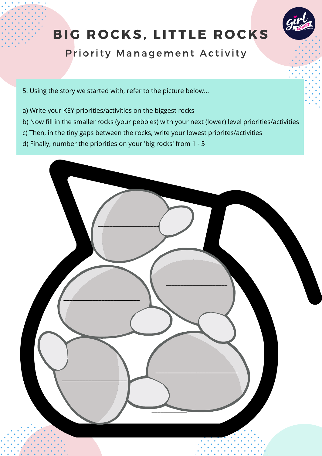# BIG ROCKS, LITTLE ROCKS



Priority Management Activity

5. Using the story we started with, refer to the picture below...

- a) Write your KEY priorities/activities on the biggest rocks
- b) Now fill in the smaller rocks (your pebbles) with your next (lower) level priorities/activities
- c) Then, in the tiny gaps between the rocks, write your lowest priorites/activities
- d) Finally, number the priorities on your 'big rocks' from 1 5